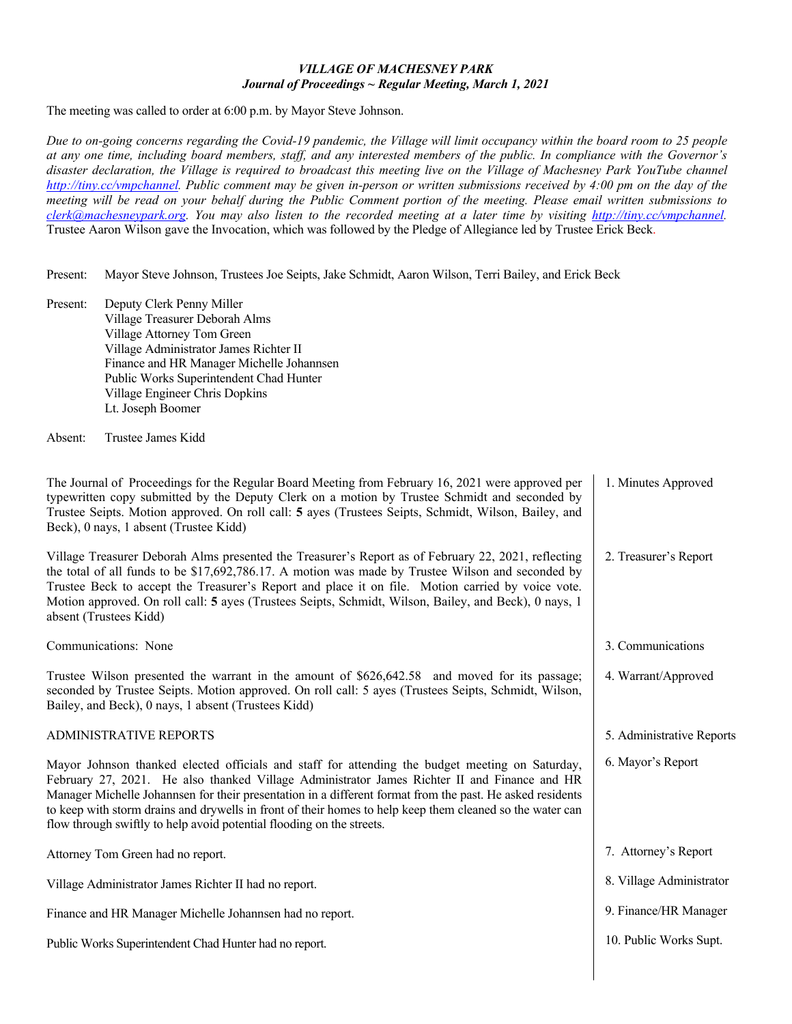## *VILLAGE OF MACHESNEY PARK Journal of Proceedings ~ Regular Meeting, March 1, 2021*

The meeting was called to order at 6:00 p.m. by Mayor Steve Johnson.

*Due to on-going concerns regarding the Covid-19 pandemic, the Village will limit occupancy within the board room to 25 people at any one time, including board members, staff, and any interested members of the public. In compliance with the Governor's disaster declaration, the Village is required to broadcast this meeting live on the Village of Machesney Park YouTube channel http://tiny.cc/vmpchannel. Public comment may be given in-person or written submissions received by 4:00 pm on the day of the meeting will be read on your behalf during the Public Comment portion of the meeting. Please email written submissions to clerk@machesneypark.org. You may also listen to the recorded meeting at a later time by visiting http://tiny.cc/vmpchannel.*  Trustee Aaron Wilson gave the Invocation, which was followed by the Pledge of Allegiance led by Trustee Erick Beck.

Present: Mayor Steve Johnson, Trustees Joe Seipts, Jake Schmidt, Aaron Wilson, Terri Bailey, and Erick Beck

Present: Deputy Clerk Penny Miller Village Treasurer Deborah Alms Village Attorney Tom Green Village Administrator James Richter II Finance and HR Manager Michelle Johannsen Public Works Superintendent Chad Hunter Village Engineer Chris Dopkins Lt. Joseph Boomer

Absent: Trustee James Kidd

| The Journal of Proceedings for the Regular Board Meeting from February 16, 2021 were approved per<br>typewritten copy submitted by the Deputy Clerk on a motion by Trustee Schmidt and seconded by<br>Trustee Seipts. Motion approved. On roll call: 5 ayes (Trustees Seipts, Schmidt, Wilson, Bailey, and<br>Beck), 0 nays, 1 absent (Trustee Kidd)                                                                                                                                               | 1. Minutes Approved       |
|----------------------------------------------------------------------------------------------------------------------------------------------------------------------------------------------------------------------------------------------------------------------------------------------------------------------------------------------------------------------------------------------------------------------------------------------------------------------------------------------------|---------------------------|
| Village Treasurer Deborah Alms presented the Treasurer's Report as of February 22, 2021, reflecting<br>the total of all funds to be \$17,692,786.17. A motion was made by Trustee Wilson and seconded by<br>Trustee Beck to accept the Treasurer's Report and place it on file. Motion carried by voice vote.<br>Motion approved. On roll call: 5 ayes (Trustees Seipts, Schmidt, Wilson, Bailey, and Beck), 0 nays, 1<br>absent (Trustees Kidd)                                                   | 2. Treasurer's Report     |
| Communications: None                                                                                                                                                                                                                                                                                                                                                                                                                                                                               | 3. Communications         |
| Trustee Wilson presented the warrant in the amount of \$626,642.58 and moved for its passage;<br>seconded by Trustee Seipts. Motion approved. On roll call: 5 ayes (Trustees Seipts, Schmidt, Wilson,<br>Bailey, and Beck), 0 nays, 1 absent (Trustees Kidd)                                                                                                                                                                                                                                       | 4. Warrant/Approved       |
| <b>ADMINISTRATIVE REPORTS</b>                                                                                                                                                                                                                                                                                                                                                                                                                                                                      | 5. Administrative Reports |
| Mayor Johnson thanked elected officials and staff for attending the budget meeting on Saturday,<br>February 27, 2021. He also thanked Village Administrator James Richter II and Finance and HR<br>Manager Michelle Johannsen for their presentation in a different format from the past. He asked residents<br>to keep with storm drains and drywells in front of their homes to help keep them cleaned so the water can<br>flow through swiftly to help avoid potential flooding on the streets. | 6. Mayor's Report         |
| Attorney Tom Green had no report.                                                                                                                                                                                                                                                                                                                                                                                                                                                                  | 7. Attorney's Report      |
| Village Administrator James Richter II had no report.                                                                                                                                                                                                                                                                                                                                                                                                                                              | 8. Village Administrator  |
| Finance and HR Manager Michelle Johannsen had no report.                                                                                                                                                                                                                                                                                                                                                                                                                                           | 9. Finance/HR Manager     |
| Public Works Superintendent Chad Hunter had no report.                                                                                                                                                                                                                                                                                                                                                                                                                                             | 10. Public Works Supt.    |
|                                                                                                                                                                                                                                                                                                                                                                                                                                                                                                    |                           |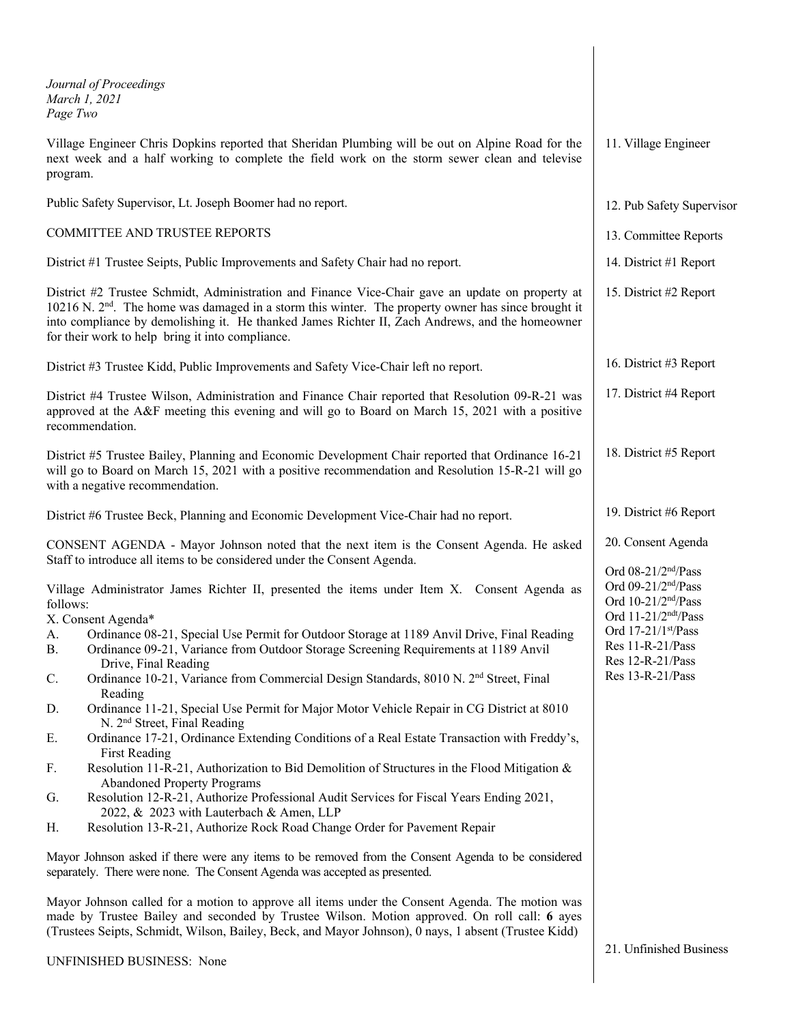| Journal of Proceedings<br>March 1, 2021<br>Page Two                                                                                                                                                                                                                                                                                                                                                                                                                                                                                                                                                                                                                                                                                                                                                                                                                                                                                                                                                                                                                                                                                          |                                                                                                                                                                                          |
|----------------------------------------------------------------------------------------------------------------------------------------------------------------------------------------------------------------------------------------------------------------------------------------------------------------------------------------------------------------------------------------------------------------------------------------------------------------------------------------------------------------------------------------------------------------------------------------------------------------------------------------------------------------------------------------------------------------------------------------------------------------------------------------------------------------------------------------------------------------------------------------------------------------------------------------------------------------------------------------------------------------------------------------------------------------------------------------------------------------------------------------------|------------------------------------------------------------------------------------------------------------------------------------------------------------------------------------------|
| Village Engineer Chris Dopkins reported that Sheridan Plumbing will be out on Alpine Road for the<br>next week and a half working to complete the field work on the storm sewer clean and televise<br>program.                                                                                                                                                                                                                                                                                                                                                                                                                                                                                                                                                                                                                                                                                                                                                                                                                                                                                                                               | 11. Village Engineer                                                                                                                                                                     |
| Public Safety Supervisor, Lt. Joseph Boomer had no report.                                                                                                                                                                                                                                                                                                                                                                                                                                                                                                                                                                                                                                                                                                                                                                                                                                                                                                                                                                                                                                                                                   | 12. Pub Safety Supervisor                                                                                                                                                                |
| COMMITTEE AND TRUSTEE REPORTS                                                                                                                                                                                                                                                                                                                                                                                                                                                                                                                                                                                                                                                                                                                                                                                                                                                                                                                                                                                                                                                                                                                | 13. Committee Reports                                                                                                                                                                    |
| District #1 Trustee Seipts, Public Improvements and Safety Chair had no report.                                                                                                                                                                                                                                                                                                                                                                                                                                                                                                                                                                                                                                                                                                                                                                                                                                                                                                                                                                                                                                                              | 14. District #1 Report                                                                                                                                                                   |
| District #2 Trustee Schmidt, Administration and Finance Vice-Chair gave an update on property at<br>$10216$ N. $2nd$ . The home was damaged in a storm this winter. The property owner has since brought it<br>into compliance by demolishing it. He thanked James Richter II, Zach Andrews, and the homeowner<br>for their work to help bring it into compliance.                                                                                                                                                                                                                                                                                                                                                                                                                                                                                                                                                                                                                                                                                                                                                                           | 15. District #2 Report                                                                                                                                                                   |
| District #3 Trustee Kidd, Public Improvements and Safety Vice-Chair left no report.                                                                                                                                                                                                                                                                                                                                                                                                                                                                                                                                                                                                                                                                                                                                                                                                                                                                                                                                                                                                                                                          | 16. District #3 Report                                                                                                                                                                   |
| District #4 Trustee Wilson, Administration and Finance Chair reported that Resolution 09-R-21 was<br>approved at the A&F meeting this evening and will go to Board on March 15, 2021 with a positive<br>recommendation.                                                                                                                                                                                                                                                                                                                                                                                                                                                                                                                                                                                                                                                                                                                                                                                                                                                                                                                      | 17. District #4 Report                                                                                                                                                                   |
| District #5 Trustee Bailey, Planning and Economic Development Chair reported that Ordinance 16-21<br>will go to Board on March 15, 2021 with a positive recommendation and Resolution 15-R-21 will go<br>with a negative recommendation.                                                                                                                                                                                                                                                                                                                                                                                                                                                                                                                                                                                                                                                                                                                                                                                                                                                                                                     | 18. District #5 Report                                                                                                                                                                   |
| District #6 Trustee Beck, Planning and Economic Development Vice-Chair had no report.                                                                                                                                                                                                                                                                                                                                                                                                                                                                                                                                                                                                                                                                                                                                                                                                                                                                                                                                                                                                                                                        | 19. District #6 Report                                                                                                                                                                   |
| CONSENT AGENDA - Mayor Johnson noted that the next item is the Consent Agenda. He asked<br>Staff to introduce all items to be considered under the Consent Agenda.                                                                                                                                                                                                                                                                                                                                                                                                                                                                                                                                                                                                                                                                                                                                                                                                                                                                                                                                                                           | 20. Consent Agenda<br>Ord 08-21/2 <sup>nd</sup> /Pass                                                                                                                                    |
| Village Administrator James Richter II, presented the items under Item X. Consent Agenda as<br>follows:<br>X. Consent Agenda*<br>Ordinance 08-21, Special Use Permit for Outdoor Storage at 1189 Anvil Drive, Final Reading<br>A.<br>Ordinance 09-21, Variance from Outdoor Storage Screening Requirements at 1189 Anvil<br><b>B.</b><br>Drive, Final Reading<br>Ordinance 10-21, Variance from Commercial Design Standards, 8010 N. 2 <sup>nd</sup> Street, Final<br>C.<br>Reading<br>Ordinance 11-21, Special Use Permit for Major Motor Vehicle Repair in CG District at 8010<br>D.<br>N. 2 <sup>nd</sup> Street, Final Reading<br>Ordinance 17-21, Ordinance Extending Conditions of a Real Estate Transaction with Freddy's,<br>Е.<br><b>First Reading</b><br>Resolution 11-R-21, Authorization to Bid Demolition of Structures in the Flood Mitigation $\&$<br>F.<br><b>Abandoned Property Programs</b><br>Resolution 12-R-21, Authorize Professional Audit Services for Fiscal Years Ending 2021,<br>G.<br>2022, & 2023 with Lauterbach & Amen, LLP<br>Resolution 13-R-21, Authorize Rock Road Change Order for Pavement Repair<br>Н. | Ord 09-21/2 <sup>nd</sup> /Pass<br>Ord 10-21/2 <sup>nd</sup> /Pass<br>Ord 11-21/2 <sup>ndt</sup> /Pass<br>Ord 17-21/1st/Pass<br>Res 11-R-21/Pass<br>Res 12-R-21/Pass<br>Res 13-R-21/Pass |
| Mayor Johnson asked if there were any items to be removed from the Consent Agenda to be considered<br>separately. There were none. The Consent Agenda was accepted as presented.                                                                                                                                                                                                                                                                                                                                                                                                                                                                                                                                                                                                                                                                                                                                                                                                                                                                                                                                                             |                                                                                                                                                                                          |
| Mayor Johnson called for a motion to approve all items under the Consent Agenda. The motion was<br>made by Trustee Bailey and seconded by Trustee Wilson. Motion approved. On roll call: 6 ayes<br>(Trustees Seipts, Schmidt, Wilson, Bailey, Beck, and Mayor Johnson), 0 nays, 1 absent (Trustee Kidd)                                                                                                                                                                                                                                                                                                                                                                                                                                                                                                                                                                                                                                                                                                                                                                                                                                      |                                                                                                                                                                                          |